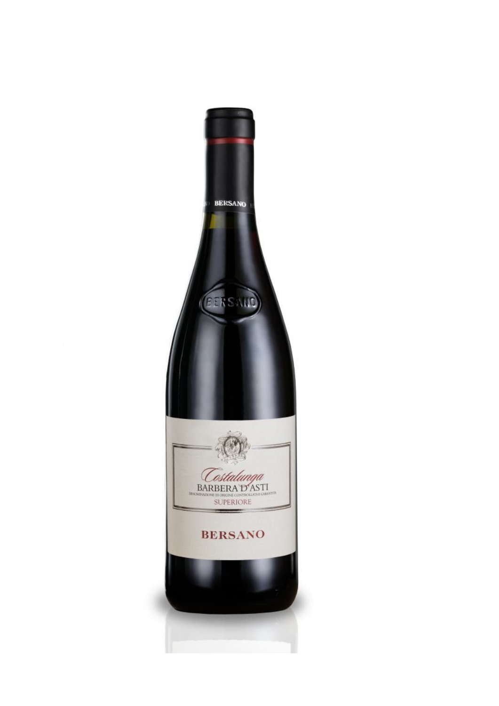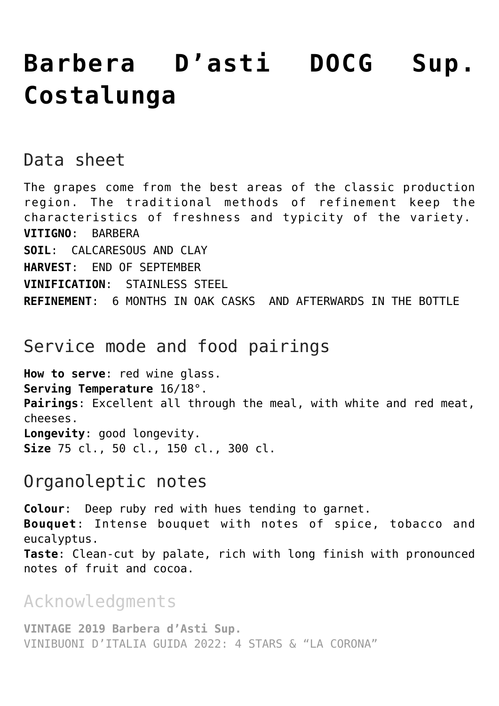# **[Barbera D'asti DOCG Sup.](http://www.bersano.it/eng/prodotto/barbera-dasti-docg-costalunga/) [Costalunga](http://www.bersano.it/eng/prodotto/barbera-dasti-docg-costalunga/)**

# Data sheet

The grapes come from the best areas of the classic production region. The traditional methods of refinement keep the characteristics of freshness and typicity of the variety. **VITIGNO**: BARBERA **SOIL**: CALCARESOUS AND CLAY **HARVEST**: END OF SEPTEMBER **VINIFICATION**: STAINLESS STEEL **REFINEMENT**: 6 MONTHS IN OAK CASKS AND AFTERWARDS IN THE BOTTLE

# Service mode and food pairings

**How to serve**: red wine glass. **Serving Temperature** 16/18°. **Pairings**: Excellent all through the meal, with white and red meat, cheeses. **Longevity**: good longevity. **Size** 75 cl., 50 cl., 150 cl., 300 cl.

### Organoleptic notes

**Colour**: Deep ruby red with hues tending to garnet. **Bouquet**: Intense bouquet with notes of spice, tobacco and eucalyptus. **Taste**: Clean-cut by palate, rich with long finish with pronounced notes of fruit and cocoa.

### Acknowledgments

**VINTAGE 2019 Barbera d'Asti Sup.** VINIBUONI D'ITALIA GUIDA 2022: 4 STARS & "LA CORONA"